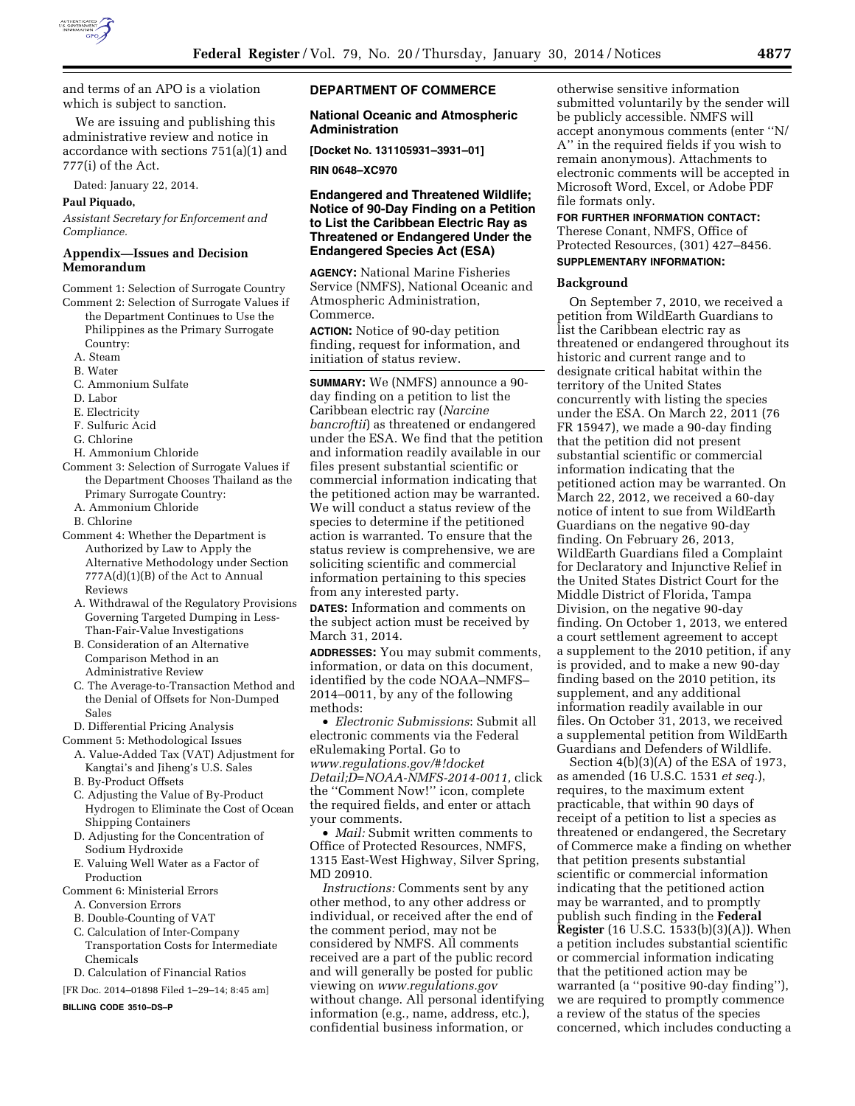

and terms of an APO is a violation which is subject to sanction.

We are issuing and publishing this administrative review and notice in accordance with sections 751(a)(1) and 777(i) of the Act.

Dated: January 22, 2014.

#### **Paul Piquado,**

*Assistant Secretary for Enforcement and Compliance.* 

### **Appendix—Issues and Decision Memorandum**

Comment 1: Selection of Surrogate Country

- Comment 2: Selection of Surrogate Values if the Department Continues to Use the Philippines as the Primary Surrogate Country:
	- A. Steam
	- B. Water
	- C. Ammonium Sulfate
	- D. Labor
	- E. Electricity
	- F. Sulfuric Acid
	- G. Chlorine
	- H. Ammonium Chloride
- Comment 3: Selection of Surrogate Values if the Department Chooses Thailand as the Primary Surrogate Country:
	- A. Ammonium Chloride
	- B. Chlorine
- Comment 4: Whether the Department is Authorized by Law to Apply the Alternative Methodology under Section 777A(d)(1)(B) of the Act to Annual Reviews
	- A. Withdrawal of the Regulatory Provisions Governing Targeted Dumping in Less-Than-Fair-Value Investigations
	- B. Consideration of an Alternative Comparison Method in an Administrative Review
	- C. The Average-to-Transaction Method and the Denial of Offsets for Non-Dumped Sales
- D. Differential Pricing Analysis
- Comment 5: Methodological Issues
	- A. Value-Added Tax (VAT) Adjustment for Kangtai's and Jiheng's U.S. Sales B. By-Product Offsets
	- C. Adjusting the Value of By-Product Hydrogen to Eliminate the Cost of Ocean Shipping Containers
	- D. Adjusting for the Concentration of Sodium Hydroxide
	- E. Valuing Well Water as a Factor of Production
- Comment 6: Ministerial Errors
	- A. Conversion Errors
	- B. Double-Counting of VAT
	- C. Calculation of Inter-Company Transportation Costs for Intermediate Chemicals
- D. Calculation of Financial Ratios
- [FR Doc. 2014–01898 Filed 1–29–14; 8:45 am]

### **BILLING CODE 3510–DS–P**

# **DEPARTMENT OF COMMERCE**

### **National Oceanic and Atmospheric Administration**

**[Docket No. 131105931–3931–01]** 

**RIN 0648–XC970** 

### **Endangered and Threatened Wildlife; Notice of 90-Day Finding on a Petition to List the Caribbean Electric Ray as Threatened or Endangered Under the Endangered Species Act (ESA)**

**AGENCY:** National Marine Fisheries Service (NMFS), National Oceanic and Atmospheric Administration, Commerce.

**ACTION:** Notice of 90-day petition finding, request for information, and initiation of status review.

**SUMMARY:** We (NMFS) announce a 90 day finding on a petition to list the Caribbean electric ray (*Narcine bancroftii*) as threatened or endangered under the ESA. We find that the petition and information readily available in our files present substantial scientific or commercial information indicating that the petitioned action may be warranted. We will conduct a status review of the species to determine if the petitioned action is warranted. To ensure that the status review is comprehensive, we are soliciting scientific and commercial information pertaining to this species from any interested party.

**DATES:** Information and comments on the subject action must be received by March 31, 2014.

**ADDRESSES:** You may submit comments, information, or data on this document, identified by the code NOAA–NMFS– 2014–0011, by any of the following methods:

• *Electronic Submissions*: Submit all electronic comments via the Federal eRulemaking Portal. Go to *[www.regulations.gov/#!docket](http://www.regulations.gov/#!docketDetail;D=NOAA-NMFS-2014-0011) [Detail;D=NOAA-NMFS-2014-0011,](http://www.regulations.gov/#!docketDetail;D=NOAA-NMFS-2014-0011)* click the ''Comment Now!'' icon, complete the required fields, and enter or attach your comments.

• *Mail:* Submit written comments to Office of Protected Resources, NMFS, 1315 East-West Highway, Silver Spring, MD 20910.

*Instructions:* Comments sent by any other method, to any other address or individual, or received after the end of the comment period, may not be considered by NMFS. All comments received are a part of the public record and will generally be posted for public viewing on *[www.regulations.gov](http://www.regulations.gov)*  without change. All personal identifying information (e.g., name, address, etc.), confidential business information, or

otherwise sensitive information submitted voluntarily by the sender will be publicly accessible. NMFS will accept anonymous comments (enter ''N/ A'' in the required fields if you wish to remain anonymous). Attachments to electronic comments will be accepted in Microsoft Word, Excel, or Adobe PDF file formats only.

#### **FOR FURTHER INFORMATION CONTACT:**

Therese Conant, NMFS, Office of Protected Resources, (301) 427–8456.

# **SUPPLEMENTARY INFORMATION:**

### **Background**

On September 7, 2010, we received a petition from WildEarth Guardians to list the Caribbean electric ray as threatened or endangered throughout its historic and current range and to designate critical habitat within the territory of the United States concurrently with listing the species under the ESA. On March 22, 2011 (76 FR 15947), we made a 90-day finding that the petition did not present substantial scientific or commercial information indicating that the petitioned action may be warranted. On March 22, 2012, we received a 60-day notice of intent to sue from WildEarth Guardians on the negative 90-day finding. On February 26, 2013, WildEarth Guardians filed a Complaint for Declaratory and Injunctive Relief in the United States District Court for the Middle District of Florida, Tampa Division, on the negative 90-day finding. On October 1, 2013, we entered a court settlement agreement to accept a supplement to the 2010 petition, if any is provided, and to make a new 90-day finding based on the 2010 petition, its supplement, and any additional information readily available in our files. On October 31, 2013, we received a supplemental petition from WildEarth Guardians and Defenders of Wildlife.

Section 4(b)(3)(A) of the ESA of 1973, as amended (16 U.S.C. 1531 *et seq.*), requires, to the maximum extent practicable, that within 90 days of receipt of a petition to list a species as threatened or endangered, the Secretary of Commerce make a finding on whether that petition presents substantial scientific or commercial information indicating that the petitioned action may be warranted, and to promptly publish such finding in the **Federal Register** (16 U.S.C. 1533(b)(3)(A)). When a petition includes substantial scientific or commercial information indicating that the petitioned action may be warranted (a ''positive 90-day finding''), we are required to promptly commence a review of the status of the species concerned, which includes conducting a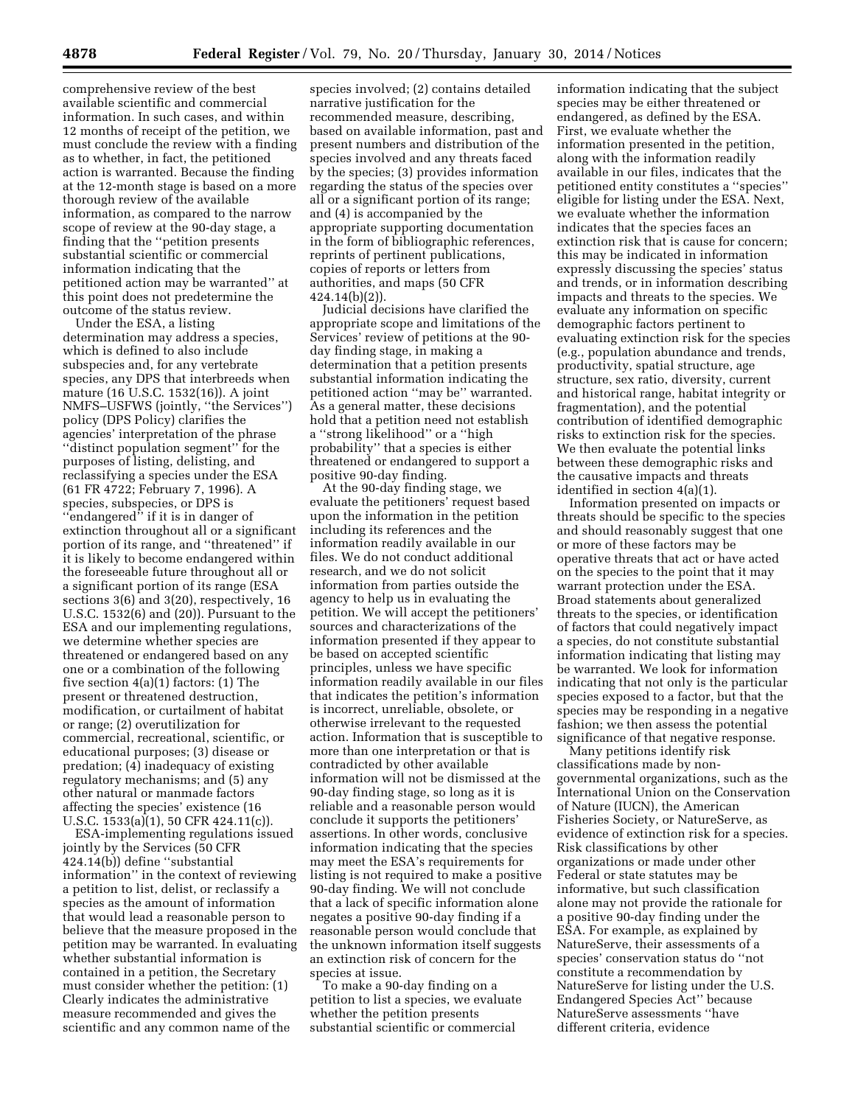comprehensive review of the best available scientific and commercial information. In such cases, and within 12 months of receipt of the petition, we must conclude the review with a finding as to whether, in fact, the petitioned action is warranted. Because the finding at the 12-month stage is based on a more thorough review of the available information, as compared to the narrow scope of review at the 90-day stage, a finding that the ''petition presents substantial scientific or commercial information indicating that the petitioned action may be warranted'' at this point does not predetermine the outcome of the status review.

Under the ESA, a listing determination may address a species, which is defined to also include subspecies and, for any vertebrate species, any DPS that interbreeds when mature (16 U.S.C. 1532(16)). A joint NMFS–USFWS (jointly, ''the Services'') policy (DPS Policy) clarifies the agencies' interpretation of the phrase ''distinct population segment'' for the purposes of listing, delisting, and reclassifying a species under the ESA (61 FR 4722; February 7, 1996). A species, subspecies, or DPS is "endangered" if it is in danger of extinction throughout all or a significant portion of its range, and ''threatened'' if it is likely to become endangered within the foreseeable future throughout all or a significant portion of its range (ESA sections 3(6) and 3(20), respectively, 16 U.S.C. 1532(6) and (20)). Pursuant to the ESA and our implementing regulations, we determine whether species are threatened or endangered based on any one or a combination of the following five section 4(a)(1) factors: (1) The present or threatened destruction, modification, or curtailment of habitat or range; (2) overutilization for commercial, recreational, scientific, or educational purposes; (3) disease or predation; (4) inadequacy of existing regulatory mechanisms; and (5) any other natural or manmade factors affecting the species' existence (16 U.S.C. 1533(a)(1), 50 CFR 424.11(c)).

ESA-implementing regulations issued jointly by the Services (50 CFR 424.14(b)) define ''substantial information'' in the context of reviewing a petition to list, delist, or reclassify a species as the amount of information that would lead a reasonable person to believe that the measure proposed in the petition may be warranted. In evaluating whether substantial information is contained in a petition, the Secretary must consider whether the petition: (1) Clearly indicates the administrative measure recommended and gives the scientific and any common name of the

species involved; (2) contains detailed narrative justification for the recommended measure, describing, based on available information, past and present numbers and distribution of the species involved and any threats faced by the species; (3) provides information regarding the status of the species over all or a significant portion of its range; and (4) is accompanied by the appropriate supporting documentation in the form of bibliographic references, reprints of pertinent publications, copies of reports or letters from authorities, and maps (50 CFR 424.14(b)(2)).

Judicial decisions have clarified the appropriate scope and limitations of the Services' review of petitions at the 90 day finding stage, in making a determination that a petition presents substantial information indicating the petitioned action ''may be'' warranted. As a general matter, these decisions hold that a petition need not establish a ''strong likelihood'' or a ''high probability'' that a species is either threatened or endangered to support a positive 90-day finding.

At the 90-day finding stage, we evaluate the petitioners' request based upon the information in the petition including its references and the information readily available in our files. We do not conduct additional research, and we do not solicit information from parties outside the agency to help us in evaluating the petition. We will accept the petitioners' sources and characterizations of the information presented if they appear to be based on accepted scientific principles, unless we have specific information readily available in our files that indicates the petition's information is incorrect, unreliable, obsolete, or otherwise irrelevant to the requested action. Information that is susceptible to more than one interpretation or that is contradicted by other available information will not be dismissed at the 90-day finding stage, so long as it is reliable and a reasonable person would conclude it supports the petitioners' assertions. In other words, conclusive information indicating that the species may meet the ESA's requirements for listing is not required to make a positive 90-day finding. We will not conclude that a lack of specific information alone negates a positive 90-day finding if a reasonable person would conclude that the unknown information itself suggests an extinction risk of concern for the species at issue.

To make a 90-day finding on a petition to list a species, we evaluate whether the petition presents substantial scientific or commercial

information indicating that the subject species may be either threatened or endangered, as defined by the ESA. First, we evaluate whether the information presented in the petition, along with the information readily available in our files, indicates that the petitioned entity constitutes a ''species'' eligible for listing under the ESA. Next, we evaluate whether the information indicates that the species faces an extinction risk that is cause for concern; this may be indicated in information expressly discussing the species' status and trends, or in information describing impacts and threats to the species. We evaluate any information on specific demographic factors pertinent to evaluating extinction risk for the species (e.g., population abundance and trends, productivity, spatial structure, age structure, sex ratio, diversity, current and historical range, habitat integrity or fragmentation), and the potential contribution of identified demographic risks to extinction risk for the species. We then evaluate the potential links between these demographic risks and the causative impacts and threats identified in section 4(a)(1).

Information presented on impacts or threats should be specific to the species and should reasonably suggest that one or more of these factors may be operative threats that act or have acted on the species to the point that it may warrant protection under the ESA. Broad statements about generalized threats to the species, or identification of factors that could negatively impact a species, do not constitute substantial information indicating that listing may be warranted. We look for information indicating that not only is the particular species exposed to a factor, but that the species may be responding in a negative fashion; we then assess the potential significance of that negative response.

Many petitions identify risk classifications made by nongovernmental organizations, such as the International Union on the Conservation of Nature (IUCN), the American Fisheries Society, or NatureServe, as evidence of extinction risk for a species. Risk classifications by other organizations or made under other Federal or state statutes may be informative, but such classification alone may not provide the rationale for a positive 90-day finding under the ESA. For example, as explained by NatureServe, their assessments of a species' conservation status do ''not constitute a recommendation by NatureServe for listing under the U.S. Endangered Species Act'' because NatureServe assessments ''have different criteria, evidence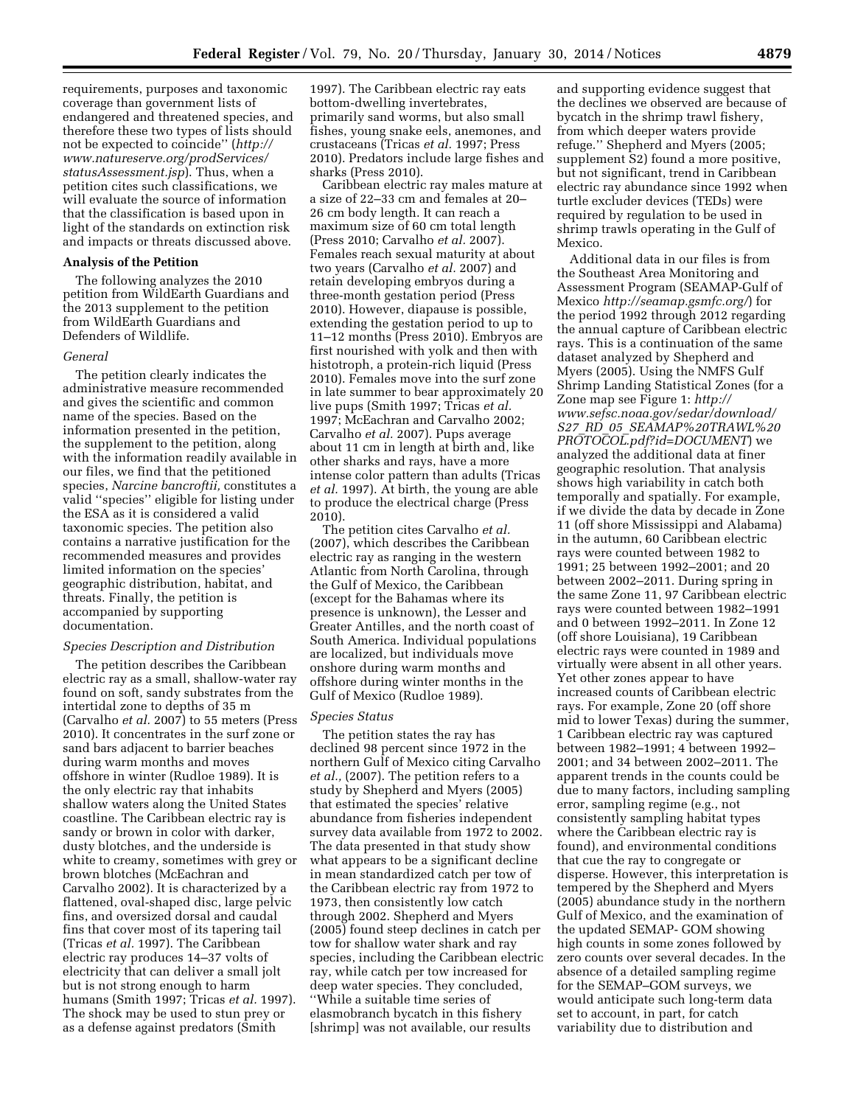requirements, purposes and taxonomic coverage than government lists of endangered and threatened species, and therefore these two types of lists should not be expected to coincide'' (*[http://](http://www.natureserve.org/prodServices/statusAssessment.jsp) [www.natureserve.org/prodServices/](http://www.natureserve.org/prodServices/statusAssessment.jsp) [statusAssessment.jsp](http://www.natureserve.org/prodServices/statusAssessment.jsp)*). Thus, when a petition cites such classifications, we will evaluate the source of information that the classification is based upon in light of the standards on extinction risk and impacts or threats discussed above.

### **Analysis of the Petition**

The following analyzes the 2010 petition from WildEarth Guardians and the 2013 supplement to the petition from WildEarth Guardians and Defenders of Wildlife.

#### *General*

The petition clearly indicates the administrative measure recommended and gives the scientific and common name of the species. Based on the information presented in the petition, the supplement to the petition, along with the information readily available in our files, we find that the petitioned species, *Narcine bancroftii,* constitutes a valid ''species'' eligible for listing under the ESA as it is considered a valid taxonomic species. The petition also contains a narrative justification for the recommended measures and provides limited information on the species' geographic distribution, habitat, and threats. Finally, the petition is accompanied by supporting documentation.

#### *Species Description and Distribution*

The petition describes the Caribbean electric ray as a small, shallow-water ray found on soft, sandy substrates from the intertidal zone to depths of 35 m (Carvalho *et al.* 2007) to 55 meters (Press 2010). It concentrates in the surf zone or sand bars adjacent to barrier beaches during warm months and moves offshore in winter (Rudloe 1989). It is the only electric ray that inhabits shallow waters along the United States coastline. The Caribbean electric ray is sandy or brown in color with darker, dusty blotches, and the underside is white to creamy, sometimes with grey or brown blotches (McEachran and Carvalho 2002). It is characterized by a flattened, oval-shaped disc, large pelvic fins, and oversized dorsal and caudal fins that cover most of its tapering tail (Tricas *et al.* 1997). The Caribbean electric ray produces 14–37 volts of electricity that can deliver a small jolt but is not strong enough to harm humans (Smith 1997; Tricas *et al.* 1997). The shock may be used to stun prey or as a defense against predators (Smith

1997). The Caribbean electric ray eats bottom-dwelling invertebrates, primarily sand worms, but also small fishes, young snake eels, anemones, and crustaceans (Tricas *et al.* 1997; Press 2010). Predators include large fishes and sharks (Press 2010).

Caribbean electric ray males mature at a size of 22–33 cm and females at 20– 26 cm body length. It can reach a maximum size of 60 cm total length (Press 2010; Carvalho *et al.* 2007). Females reach sexual maturity at about two years (Carvalho *et al.* 2007) and retain developing embryos during a three-month gestation period (Press 2010). However, diapause is possible, extending the gestation period to up to 11–12 months (Press 2010). Embryos are first nourished with yolk and then with histotroph, a protein-rich liquid (Press 2010). Females move into the surf zone in late summer to bear approximately 20 live pups (Smith 1997; Tricas *et al.*  1997; McEachran and Carvalho 2002; Carvalho *et al.* 2007). Pups average about 11 cm in length at birth and, like other sharks and rays, have a more intense color pattern than adults (Tricas *et al.* 1997). At birth, the young are able to produce the electrical charge (Press 2010).

The petition cites Carvalho *et al.*  (2007), which describes the Caribbean electric ray as ranging in the western Atlantic from North Carolina, through the Gulf of Mexico, the Caribbean (except for the Bahamas where its presence is unknown), the Lesser and Greater Antilles, and the north coast of South America. Individual populations are localized, but individuals move onshore during warm months and offshore during winter months in the Gulf of Mexico (Rudloe 1989).

#### *Species Status*

The petition states the ray has declined 98 percent since 1972 in the northern Gulf of Mexico citing Carvalho *et al.,* (2007). The petition refers to a study by Shepherd and Myers (2005) that estimated the species' relative abundance from fisheries independent survey data available from 1972 to 2002. The data presented in that study show what appears to be a significant decline in mean standardized catch per tow of the Caribbean electric ray from 1972 to 1973, then consistently low catch through 2002. Shepherd and Myers (2005) found steep declines in catch per tow for shallow water shark and ray species, including the Caribbean electric ray, while catch per tow increased for deep water species. They concluded, ''While a suitable time series of elasmobranch bycatch in this fishery [shrimp] was not available, our results

and supporting evidence suggest that the declines we observed are because of bycatch in the shrimp trawl fishery, from which deeper waters provide refuge.'' Shepherd and Myers (2005; supplement S2) found a more positive, but not significant, trend in Caribbean electric ray abundance since 1992 when turtle excluder devices (TEDs) were required by regulation to be used in shrimp trawls operating in the Gulf of Mexico.

Additional data in our files is from the Southeast Area Monitoring and Assessment Program (SEAMAP-Gulf of Mexico *<http://seamap.gsmfc.org/>*) for the period 1992 through 2012 regarding the annual capture of Caribbean electric rays. This is a continuation of the same dataset analyzed by Shepherd and Myers (2005). Using the NMFS Gulf Shrimp Landing Statistical Zones (for a Zone map see Figure 1: *[http://](http://www.sefsc.noaa.gov/sedar/download/S27_RD_05_SEAMAP%20TRAWL%20PROTOCOL.pdf?id=DOCUMENT)  [www.sefsc.noaa.gov/sedar/download/](http://www.sefsc.noaa.gov/sedar/download/S27_RD_05_SEAMAP%20TRAWL%20PROTOCOL.pdf?id=DOCUMENT) S27*\_*RD*\_*05*\_*[SEAMAP%20TRAWL%20](http://www.sefsc.noaa.gov/sedar/download/S27_RD_05_SEAMAP%20TRAWL%20PROTOCOL.pdf?id=DOCUMENT) [PROTOCOL.pdf?id=DOCUMENT](http://www.sefsc.noaa.gov/sedar/download/S27_RD_05_SEAMAP%20TRAWL%20PROTOCOL.pdf?id=DOCUMENT)*) we analyzed the additional data at finer geographic resolution. That analysis shows high variability in catch both temporally and spatially. For example, if we divide the data by decade in Zone 11 (off shore Mississippi and Alabama) in the autumn, 60 Caribbean electric rays were counted between 1982 to 1991; 25 between 1992–2001; and 20 between 2002–2011. During spring in the same Zone 11, 97 Caribbean electric rays were counted between 1982–1991 and 0 between 1992–2011. In Zone 12 (off shore Louisiana), 19 Caribbean electric rays were counted in 1989 and virtually were absent in all other years. Yet other zones appear to have increased counts of Caribbean electric rays. For example, Zone 20 (off shore mid to lower Texas) during the summer, 1 Caribbean electric ray was captured between 1982–1991; 4 between 1992– 2001; and 34 between 2002–2011. The apparent trends in the counts could be due to many factors, including sampling error, sampling regime (e.g., not consistently sampling habitat types where the Caribbean electric ray is found), and environmental conditions that cue the ray to congregate or disperse. However, this interpretation is tempered by the Shepherd and Myers (2005) abundance study in the northern Gulf of Mexico, and the examination of the updated SEMAP- GOM showing high counts in some zones followed by zero counts over several decades. In the absence of a detailed sampling regime for the SEMAP–GOM surveys, we would anticipate such long-term data set to account, in part, for catch variability due to distribution and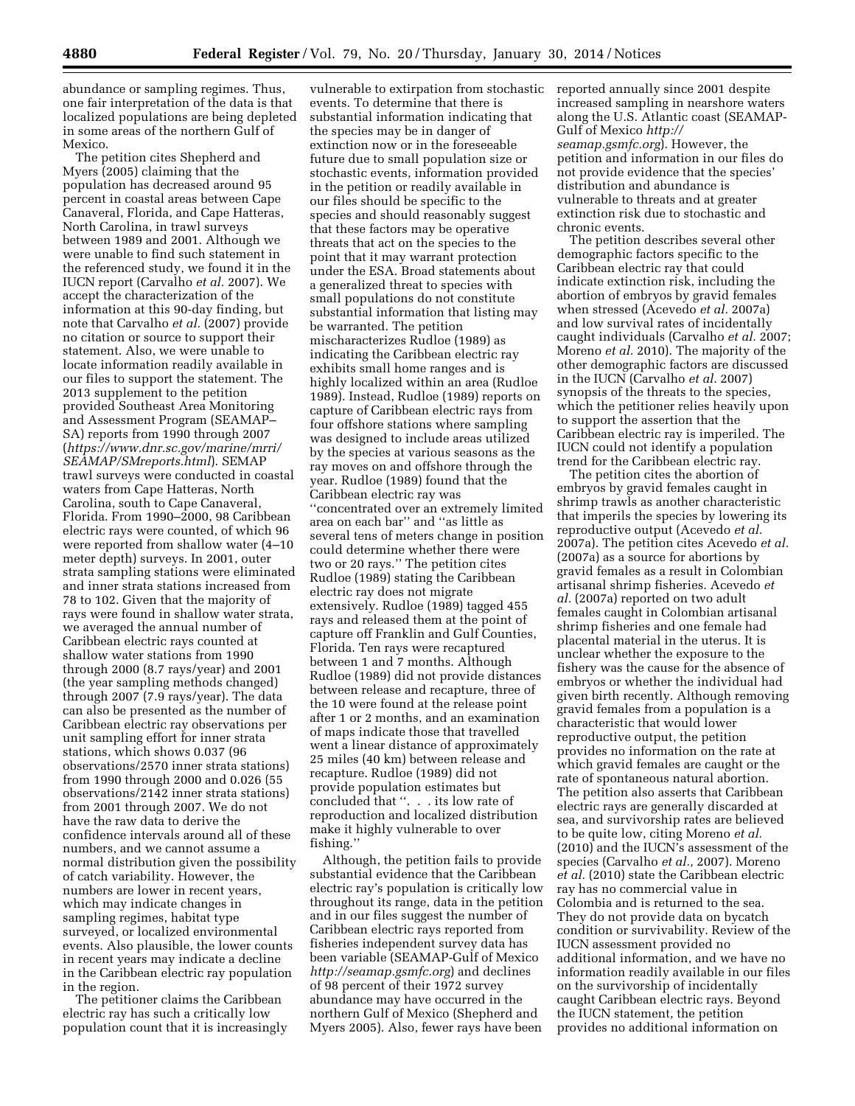abundance or sampling regimes. Thus, one fair interpretation of the data is that localized populations are being depleted in some areas of the northern Gulf of Mexico.

The petition cites Shepherd and Myers (2005) claiming that the population has decreased around 95 percent in coastal areas between Cape Canaveral, Florida, and Cape Hatteras, North Carolina, in trawl surveys between 1989 and 2001. Although we were unable to find such statement in the referenced study, we found it in the IUCN report (Carvalho *et al.* 2007). We accept the characterization of the information at this 90-day finding, but note that Carvalho *et al.* (2007) provide no citation or source to support their statement. Also, we were unable to locate information readily available in our files to support the statement. The 2013 supplement to the petition provided Southeast Area Monitoring and Assessment Program (SEAMAP– SA) reports from 1990 through 2007 (*[https://www.dnr.sc.gov/marine/mrri/](https://www.dnr.sc.gov/marine/mrri/SEAMAP/SMreports.html) [SEAMAP/SMreports.html](https://www.dnr.sc.gov/marine/mrri/SEAMAP/SMreports.html)*). SEMAP trawl surveys were conducted in coastal waters from Cape Hatteras, North Carolina, south to Cape Canaveral, Florida. From 1990–2000, 98 Caribbean electric rays were counted, of which 96 were reported from shallow water (4–10 meter depth) surveys. In 2001, outer strata sampling stations were eliminated and inner strata stations increased from 78 to 102. Given that the majority of rays were found in shallow water strata, we averaged the annual number of Caribbean electric rays counted at shallow water stations from 1990 through 2000 (8.7 rays/year) and 2001 (the year sampling methods changed) through 2007 (7.9 rays/year). The data can also be presented as the number of Caribbean electric ray observations per unit sampling effort for inner strata stations, which shows 0.037 (96 observations/2570 inner strata stations) from 1990 through 2000 and 0.026 (55 observations/2142 inner strata stations) from 2001 through 2007. We do not have the raw data to derive the confidence intervals around all of these numbers, and we cannot assume a normal distribution given the possibility of catch variability. However, the numbers are lower in recent years, which may indicate changes in sampling regimes, habitat type surveyed, or localized environmental events. Also plausible, the lower counts in recent years may indicate a decline in the Caribbean electric ray population in the region.

The petitioner claims the Caribbean electric ray has such a critically low population count that it is increasingly

vulnerable to extirpation from stochastic events. To determine that there is substantial information indicating that the species may be in danger of extinction now or in the foreseeable future due to small population size or stochastic events, information provided in the petition or readily available in our files should be specific to the species and should reasonably suggest that these factors may be operative threats that act on the species to the point that it may warrant protection under the ESA. Broad statements about a generalized threat to species with small populations do not constitute substantial information that listing may be warranted. The petition mischaracterizes Rudloe (1989) as indicating the Caribbean electric ray exhibits small home ranges and is highly localized within an area (Rudloe 1989). Instead, Rudloe (1989) reports on capture of Caribbean electric rays from four offshore stations where sampling was designed to include areas utilized by the species at various seasons as the ray moves on and offshore through the year. Rudloe (1989) found that the Caribbean electric ray was ''concentrated over an extremely limited

area on each bar'' and ''as little as several tens of meters change in position could determine whether there were two or 20 rays.'' The petition cites Rudloe (1989) stating the Caribbean electric ray does not migrate extensively. Rudloe (1989) tagged 455 rays and released them at the point of capture off Franklin and Gulf Counties, Florida. Ten rays were recaptured between 1 and 7 months. Although Rudloe (1989) did not provide distances between release and recapture, three of the 10 were found at the release point after 1 or 2 months, and an examination of maps indicate those that travelled went a linear distance of approximately 25 miles (40 km) between release and recapture. Rudloe (1989) did not provide population estimates but concluded that ''. . . its low rate of reproduction and localized distribution make it highly vulnerable to over fishing.''

Although, the petition fails to provide substantial evidence that the Caribbean electric ray's population is critically low throughout its range, data in the petition and in our files suggest the number of Caribbean electric rays reported from fisheries independent survey data has been variable (SEAMAP-Gulf of Mexico *<http://seamap.gsmfc.org>*) and declines of 98 percent of their 1972 survey abundance may have occurred in the northern Gulf of Mexico (Shepherd and Myers 2005). Also, fewer rays have been

reported annually since 2001 despite increased sampling in nearshore waters along the U.S. Atlantic coast (SEAMAP-Gulf of Mexico *[http://](http://seamap.gsmfc.org) [seamap.gsmfc.org](http://seamap.gsmfc.org)*). However, the petition and information in our files do not provide evidence that the species' distribution and abundance is vulnerable to threats and at greater extinction risk due to stochastic and chronic events.

The petition describes several other demographic factors specific to the Caribbean electric ray that could indicate extinction risk, including the abortion of embryos by gravid females when stressed (Acevedo *et al.* 2007a) and low survival rates of incidentally caught individuals (Carvalho *et al.* 2007; Moreno *et al.* 2010). The majority of the other demographic factors are discussed in the IUCN (Carvalho *et al.* 2007) synopsis of the threats to the species, which the petitioner relies heavily upon to support the assertion that the Caribbean electric ray is imperiled. The IUCN could not identify a population trend for the Caribbean electric ray.

The petition cites the abortion of embryos by gravid females caught in shrimp trawls as another characteristic that imperils the species by lowering its reproductive output (Acevedo *et al.*  2007a). The petition cites Acevedo *et al.*  (2007a) as a source for abortions by gravid females as a result in Colombian artisanal shrimp fisheries. Acevedo *et al.* (2007a) reported on two adult females caught in Colombian artisanal shrimp fisheries and one female had placental material in the uterus. It is unclear whether the exposure to the fishery was the cause for the absence of embryos or whether the individual had given birth recently. Although removing gravid females from a population is a characteristic that would lower reproductive output, the petition provides no information on the rate at which gravid females are caught or the rate of spontaneous natural abortion. The petition also asserts that Caribbean electric rays are generally discarded at sea, and survivorship rates are believed to be quite low, citing Moreno *et al.*  (2010) and the IUCN's assessment of the species (Carvalho *et al.,* 2007). Moreno *et al.* (2010) state the Caribbean electric ray has no commercial value in Colombia and is returned to the sea. They do not provide data on bycatch condition or survivability. Review of the IUCN assessment provided no additional information, and we have no information readily available in our files on the survivorship of incidentally caught Caribbean electric rays. Beyond the IUCN statement, the petition provides no additional information on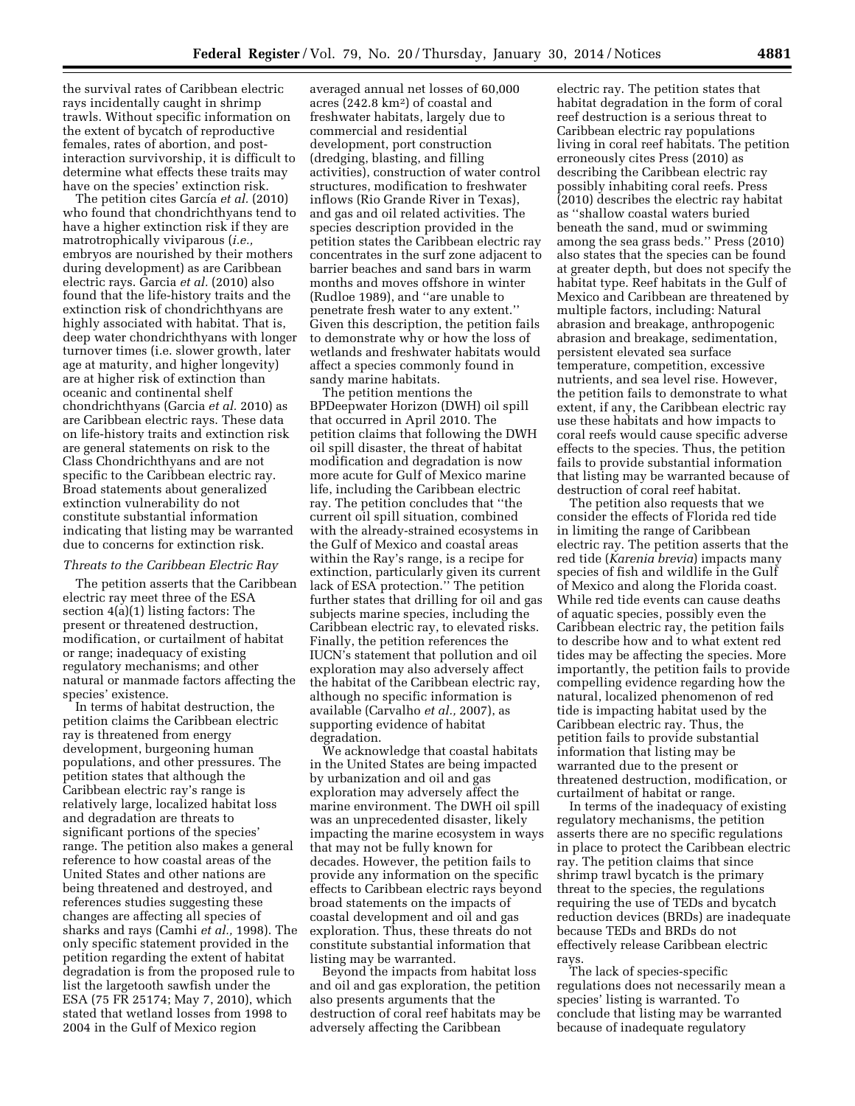the survival rates of Caribbean electric rays incidentally caught in shrimp trawls. Without specific information on the extent of bycatch of reproductive females, rates of abortion, and postinteraction survivorship, it is difficult to determine what effects these traits may have on the species' extinction risk.

The petition cites García *et al.* (2010) who found that chondrichthyans tend to have a higher extinction risk if they are matrotrophically viviparous (*i.e.,*  embryos are nourished by their mothers during development) as are Caribbean electric rays. Garcia *et al.* (2010) also found that the life-history traits and the extinction risk of chondrichthyans are highly associated with habitat. That is, deep water chondrichthyans with longer turnover times (i.e. slower growth, later age at maturity, and higher longevity) are at higher risk of extinction than oceanic and continental shelf chondrichthyans (Garcia *et al.* 2010) as are Caribbean electric rays. These data on life-history traits and extinction risk are general statements on risk to the Class Chondrichthyans and are not specific to the Caribbean electric ray. Broad statements about generalized extinction vulnerability do not constitute substantial information indicating that listing may be warranted due to concerns for extinction risk.

#### *Threats to the Caribbean Electric Ray*

The petition asserts that the Caribbean electric ray meet three of the ESA section 4(a)(1) listing factors: The present or threatened destruction, modification, or curtailment of habitat or range; inadequacy of existing regulatory mechanisms; and other natural or manmade factors affecting the species' existence.

In terms of habitat destruction, the petition claims the Caribbean electric ray is threatened from energy development, burgeoning human populations, and other pressures. The petition states that although the Caribbean electric ray's range is relatively large, localized habitat loss and degradation are threats to significant portions of the species' range. The petition also makes a general reference to how coastal areas of the United States and other nations are being threatened and destroyed, and references studies suggesting these changes are affecting all species of sharks and rays (Camhi *et al.,* 1998). The only specific statement provided in the petition regarding the extent of habitat degradation is from the proposed rule to list the largetooth sawfish under the ESA (75 FR 25174; May 7, 2010), which stated that wetland losses from 1998 to 2004 in the Gulf of Mexico region

averaged annual net losses of 60,000 acres (242.8 km2) of coastal and freshwater habitats, largely due to commercial and residential development, port construction (dredging, blasting, and filling activities), construction of water control structures, modification to freshwater inflows (Rio Grande River in Texas), and gas and oil related activities. The species description provided in the petition states the Caribbean electric ray concentrates in the surf zone adjacent to barrier beaches and sand bars in warm months and moves offshore in winter (Rudloe 1989), and ''are unable to penetrate fresh water to any extent.'' Given this description, the petition fails to demonstrate why or how the loss of wetlands and freshwater habitats would affect a species commonly found in sandy marine habitats.

The petition mentions the BPDeepwater Horizon (DWH) oil spill that occurred in April 2010. The petition claims that following the DWH oil spill disaster, the threat of habitat modification and degradation is now more acute for Gulf of Mexico marine life, including the Caribbean electric ray. The petition concludes that ''the current oil spill situation, combined with the already-strained ecosystems in the Gulf of Mexico and coastal areas within the Ray's range, is a recipe for extinction, particularly given its current lack of ESA protection.'' The petition further states that drilling for oil and gas subjects marine species, including the Caribbean electric ray, to elevated risks. Finally, the petition references the IUCN's statement that pollution and oil exploration may also adversely affect the habitat of the Caribbean electric ray, although no specific information is available (Carvalho *et al.,* 2007), as supporting evidence of habitat degradation.

We acknowledge that coastal habitats in the United States are being impacted by urbanization and oil and gas exploration may adversely affect the marine environment. The DWH oil spill was an unprecedented disaster, likely impacting the marine ecosystem in ways that may not be fully known for decades. However, the petition fails to provide any information on the specific effects to Caribbean electric rays beyond broad statements on the impacts of coastal development and oil and gas exploration. Thus, these threats do not constitute substantial information that listing may be warranted.

Beyond the impacts from habitat loss and oil and gas exploration, the petition also presents arguments that the destruction of coral reef habitats may be adversely affecting the Caribbean

electric ray. The petition states that habitat degradation in the form of coral reef destruction is a serious threat to Caribbean electric ray populations living in coral reef habitats. The petition erroneously cites Press (2010) as describing the Caribbean electric ray possibly inhabiting coral reefs. Press (2010) describes the electric ray habitat as ''shallow coastal waters buried beneath the sand, mud or swimming among the sea grass beds.'' Press (2010) also states that the species can be found at greater depth, but does not specify the habitat type. Reef habitats in the Gulf of Mexico and Caribbean are threatened by multiple factors, including: Natural abrasion and breakage, anthropogenic abrasion and breakage, sedimentation, persistent elevated sea surface temperature, competition, excessive nutrients, and sea level rise. However, the petition fails to demonstrate to what extent, if any, the Caribbean electric ray use these habitats and how impacts to coral reefs would cause specific adverse effects to the species. Thus, the petition fails to provide substantial information that listing may be warranted because of destruction of coral reef habitat.

The petition also requests that we consider the effects of Florida red tide in limiting the range of Caribbean electric ray. The petition asserts that the red tide (*Karenia brevia*) impacts many species of fish and wildlife in the Gulf of Mexico and along the Florida coast. While red tide events can cause deaths of aquatic species, possibly even the Caribbean electric ray, the petition fails to describe how and to what extent red tides may be affecting the species. More importantly, the petition fails to provide compelling evidence regarding how the natural, localized phenomenon of red tide is impacting habitat used by the Caribbean electric ray. Thus, the petition fails to provide substantial information that listing may be warranted due to the present or threatened destruction, modification, or curtailment of habitat or range.

In terms of the inadequacy of existing regulatory mechanisms, the petition asserts there are no specific regulations in place to protect the Caribbean electric ray. The petition claims that since shrimp trawl bycatch is the primary threat to the species, the regulations requiring the use of TEDs and bycatch reduction devices (BRDs) are inadequate because TEDs and BRDs do not effectively release Caribbean electric rays.

The lack of species-specific regulations does not necessarily mean a species' listing is warranted. To conclude that listing may be warranted because of inadequate regulatory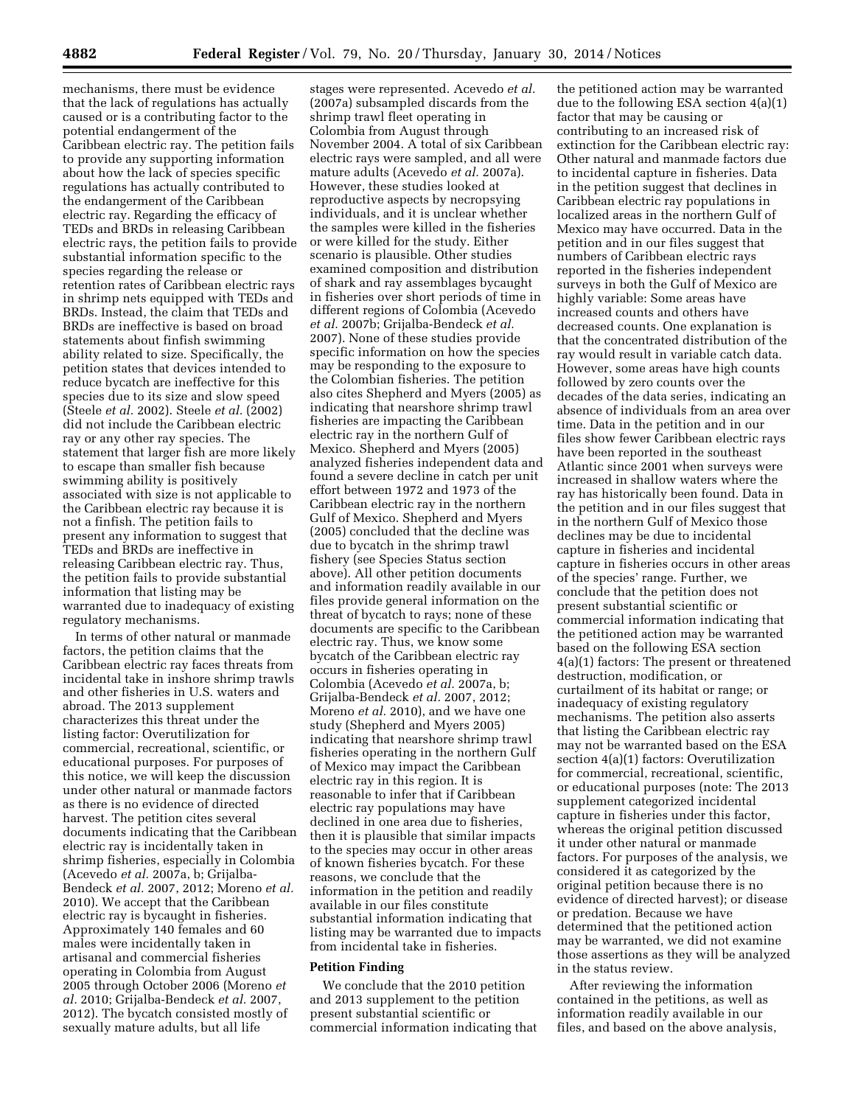mechanisms, there must be evidence that the lack of regulations has actually caused or is a contributing factor to the potential endangerment of the Caribbean electric ray. The petition fails to provide any supporting information about how the lack of species specific regulations has actually contributed to the endangerment of the Caribbean electric ray. Regarding the efficacy of TEDs and BRDs in releasing Caribbean electric rays, the petition fails to provide substantial information specific to the species regarding the release or retention rates of Caribbean electric rays in shrimp nets equipped with TEDs and BRDs. Instead, the claim that TEDs and BRDs are ineffective is based on broad statements about finfish swimming ability related to size. Specifically, the petition states that devices intended to reduce bycatch are ineffective for this species due to its size and slow speed (Steele *et al.* 2002). Steele *et al.* (2002) did not include the Caribbean electric ray or any other ray species. The statement that larger fish are more likely to escape than smaller fish because swimming ability is positively associated with size is not applicable to the Caribbean electric ray because it is not a finfish. The petition fails to present any information to suggest that TEDs and BRDs are ineffective in releasing Caribbean electric ray. Thus, the petition fails to provide substantial information that listing may be warranted due to inadequacy of existing regulatory mechanisms.

In terms of other natural or manmade factors, the petition claims that the Caribbean electric ray faces threats from incidental take in inshore shrimp trawls and other fisheries in U.S. waters and abroad. The 2013 supplement characterizes this threat under the listing factor: Overutilization for commercial, recreational, scientific, or educational purposes. For purposes of this notice, we will keep the discussion under other natural or manmade factors as there is no evidence of directed harvest. The petition cites several documents indicating that the Caribbean electric ray is incidentally taken in shrimp fisheries, especially in Colombia (Acevedo *et al.* 2007a, b; Grijalba-Bendeck *et al.* 2007, 2012; Moreno *et al.*  2010). We accept that the Caribbean electric ray is bycaught in fisheries. Approximately 140 females and 60 males were incidentally taken in artisanal and commercial fisheries operating in Colombia from August 2005 through October 2006 (Moreno *et al.* 2010; Grijalba-Bendeck *et al.* 2007, 2012). The bycatch consisted mostly of sexually mature adults, but all life

stages were represented. Acevedo *et al.*  (2007a) subsampled discards from the shrimp trawl fleet operating in Colombia from August through November 2004. A total of six Caribbean electric rays were sampled, and all were mature adults (Acevedo *et al.* 2007a). However, these studies looked at reproductive aspects by necropsying individuals, and it is unclear whether the samples were killed in the fisheries or were killed for the study. Either scenario is plausible. Other studies examined composition and distribution of shark and ray assemblages bycaught in fisheries over short periods of time in different regions of Colombia (Acevedo *et al.* 2007b; Grijalba-Bendeck *et al.*  2007). None of these studies provide specific information on how the species may be responding to the exposure to the Colombian fisheries. The petition also cites Shepherd and Myers (2005) as indicating that nearshore shrimp trawl fisheries are impacting the Caribbean electric ray in the northern Gulf of Mexico. Shepherd and Myers (2005) analyzed fisheries independent data and found a severe decline in catch per unit effort between 1972 and 1973 of the Caribbean electric ray in the northern Gulf of Mexico. Shepherd and Myers (2005) concluded that the decline was due to bycatch in the shrimp trawl fishery (see Species Status section above). All other petition documents and information readily available in our files provide general information on the threat of bycatch to rays; none of these documents are specific to the Caribbean electric ray. Thus, we know some bycatch of the Caribbean electric ray occurs in fisheries operating in Colombia (Acevedo *et al.* 2007a, b; Grijalba-Bendeck *et al.* 2007, 2012; Moreno *et al.* 2010), and we have one study (Shepherd and Myers 2005) indicating that nearshore shrimp trawl fisheries operating in the northern Gulf of Mexico may impact the Caribbean electric ray in this region. It is reasonable to infer that if Caribbean electric ray populations may have declined in one area due to fisheries, then it is plausible that similar impacts to the species may occur in other areas of known fisheries bycatch. For these reasons, we conclude that the information in the petition and readily available in our files constitute substantial information indicating that listing may be warranted due to impacts from incidental take in fisheries.

#### **Petition Finding**

We conclude that the 2010 petition and 2013 supplement to the petition present substantial scientific or commercial information indicating that

the petitioned action may be warranted due to the following ESA section 4(a)(1) factor that may be causing or contributing to an increased risk of extinction for the Caribbean electric ray: Other natural and manmade factors due to incidental capture in fisheries. Data in the petition suggest that declines in Caribbean electric ray populations in localized areas in the northern Gulf of Mexico may have occurred. Data in the petition and in our files suggest that numbers of Caribbean electric rays reported in the fisheries independent surveys in both the Gulf of Mexico are highly variable: Some areas have increased counts and others have decreased counts. One explanation is that the concentrated distribution of the ray would result in variable catch data. However, some areas have high counts followed by zero counts over the decades of the data series, indicating an absence of individuals from an area over time. Data in the petition and in our files show fewer Caribbean electric rays have been reported in the southeast Atlantic since 2001 when surveys were increased in shallow waters where the ray has historically been found. Data in the petition and in our files suggest that in the northern Gulf of Mexico those declines may be due to incidental capture in fisheries and incidental capture in fisheries occurs in other areas of the species' range. Further, we conclude that the petition does not present substantial scientific or commercial information indicating that the petitioned action may be warranted based on the following ESA section 4(a)(1) factors: The present or threatened destruction, modification, or curtailment of its habitat or range; or inadequacy of existing regulatory mechanisms. The petition also asserts that listing the Caribbean electric ray may not be warranted based on the ESA section 4(a)(1) factors: Overutilization for commercial, recreational, scientific, or educational purposes (note: The 2013 supplement categorized incidental capture in fisheries under this factor, whereas the original petition discussed it under other natural or manmade factors. For purposes of the analysis, we considered it as categorized by the original petition because there is no evidence of directed harvest); or disease or predation. Because we have determined that the petitioned action may be warranted, we did not examine those assertions as they will be analyzed in the status review.

After reviewing the information contained in the petitions, as well as information readily available in our files, and based on the above analysis,